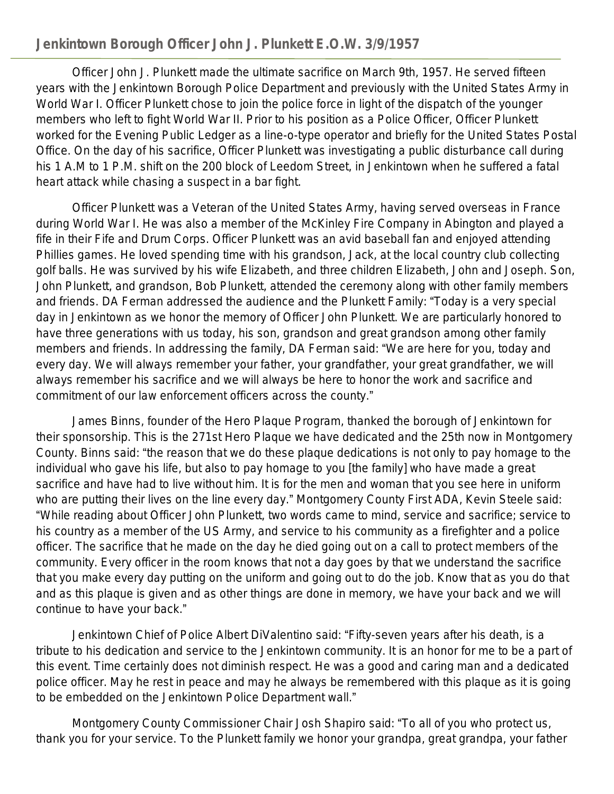## **Jenkintown Borough Officer John J. Plunkett E.O.W. 3/9/1957**

Officer John J. Plunkett made the ultimate sacrifice on March 9th, 1957. He served fifteen years with the Jenkintown Borough Police Department and previously with the United States Army in World War I. Officer Plunkett chose to join the police force in light of the dispatch of the younger members who left to fight World War II. Prior to his position as a Police Officer, Officer Plunkett worked for the Evening Public Ledger as a line-o-type operator and briefly for the United States Postal Office. On the day of his sacrifice, Officer Plunkett was investigating a public disturbance call during his 1 A.M to 1 P.M. shift on the 200 block of Leedom Street, in Jenkintown when he suffered a fatal heart attack while chasing a suspect in a bar fight.

Officer Plunkett was a Veteran of the United States Army, having served overseas in France during World War I. He was also a member of the McKinley Fire Company in Abington and played a fife in their Fife and Drum Corps. Officer Plunkett was an avid baseball fan and enjoyed attending Phillies games. He loved spending time with his grandson, Jack, at the local country club collecting golf balls. He was survived by his wife Elizabeth, and three children Elizabeth, John and Joseph. Son, John Plunkett, and grandson, Bob Plunkett, attended the ceremony along with other family members and friends. DA Ferman addressed the audience and the Plunkett Family: "Today is a very special day in Jenkintown as we honor the memory of Officer John Plunkett. We are particularly honored to have three generations with us today, his son, grandson and great grandson among other family members and friends. In addressing the family, DA Ferman said: "We are here for you, today and every day. We will always remember your father, your grandfather, your great grandfather, we will always remember his sacrifice and we will always be here to honor the work and sacrifice and commitment of our law enforcement officers across the county."

James Binns, founder of the Hero Plaque Program, thanked the borough of Jenkintown for their sponsorship. This is the 271st Hero Plaque we have dedicated and the 25th now in Montgomery County. Binns said: "the reason that we do these plaque dedications is not only to pay homage to the individual who gave his life, but also to pay homage to you [the family] who have made a great sacrifice and have had to live without him. It is for the men and woman that you see here in uniform who are putting their lives on the line every day." Montgomery County First ADA, Kevin Steele said: "While reading about Officer John Plunkett, two words came to mind, service and sacrifice; service to his country as a member of the US Army, and service to his community as a firefighter and a police officer. The sacrifice that he made on the day he died going out on a call to protect members of the community. Every officer in the room knows that not a day goes by that we understand the sacrifice that you make every day putting on the uniform and going out to do the job. Know that as you do that and as this plaque is given and as other things are done in memory, we have your back and we will continue to have your back."

Jenkintown Chief of Police Albert DiValentino said: "Fifty-seven years after his death, is a tribute to his dedication and service to the Jenkintown community. It is an honor for me to be a part of this event. Time certainly does not diminish respect. He was a good and caring man and a dedicated police officer. May he rest in peace and may he always be remembered with this plaque as it is going to be embedded on the Jenkintown Police Department wall."

Montgomery County Commissioner Chair Josh Shapiro said: "To all of you who protect us, thank you for your service. To the Plunkett family we honor your grandpa, great grandpa, your father